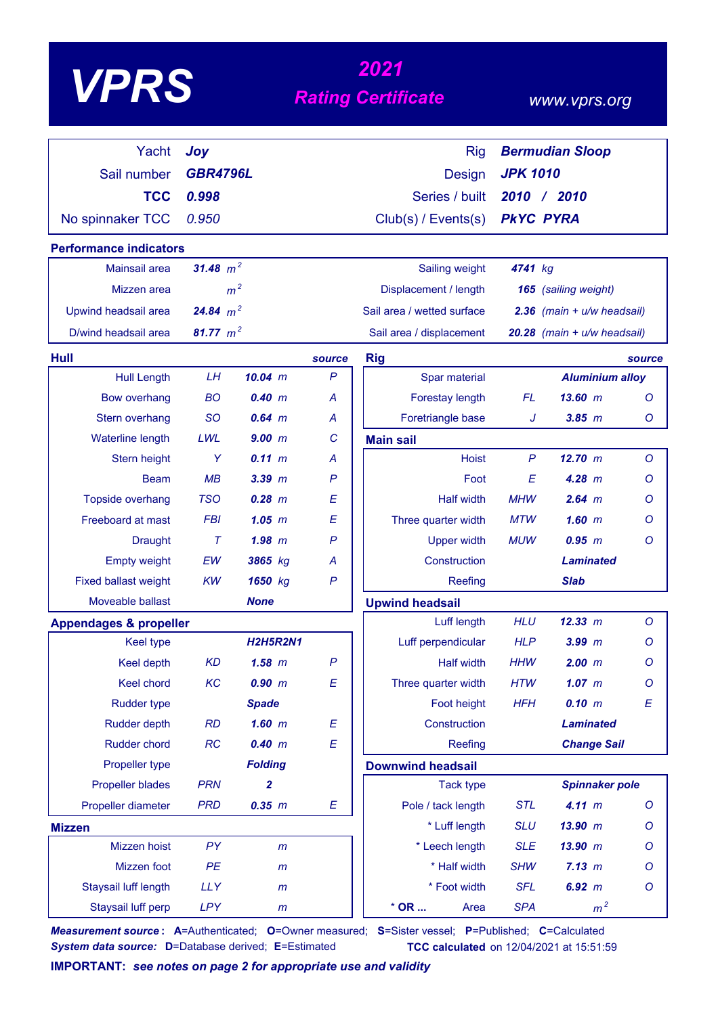# *<sup>2021</sup> VPRS Rating Certificate*

### *www.vprs.org*

| Yacht                             | Joy             |                 |              | <b>Rig</b>                 |                 | <b>Bermudian Sloop</b>      |         |
|-----------------------------------|-----------------|-----------------|--------------|----------------------------|-----------------|-----------------------------|---------|
| Sail number                       | <b>GBR4796L</b> |                 |              | <b>Design</b>              | <b>JPK 1010</b> |                             |         |
| <b>TCC</b>                        | 0.998           |                 |              | Series / built             |                 | 2010 / 2010                 |         |
| No spinnaker TCC                  | 0.950           |                 |              | Club(s) / Events(s)        |                 | <b>PKYC PYRA</b>            |         |
| <b>Performance indicators</b>     |                 |                 |              |                            |                 |                             |         |
| Mainsail area                     | 31.48 $m^2$     |                 |              | Sailing weight             | 4741 kg         |                             |         |
| Mizzen area                       |                 | m <sup>2</sup>  |              | Displacement / length      |                 | 165 (sailing weight)        |         |
| Upwind headsail area              | 24.84 $m^2$     |                 |              | Sail area / wetted surface |                 | 2.36 (main + u/w headsail)  |         |
| D/wind headsail area              | 81.77 $m^2$     |                 |              | Sail area / displacement   |                 | 20.28 (main + u/w headsail) |         |
| Hull                              |                 |                 | source       | <b>Rig</b>                 |                 |                             | source  |
| <b>Hull Length</b>                | LH              | $10.04$ m       | $\mathsf{P}$ | Spar material              |                 | <b>Aluminium alloy</b>      |         |
| <b>Bow overhang</b>               | <b>BO</b>       | 0.40 m          | A            | Forestay length            | <b>FL</b>       | 13.60~m                     | Ο       |
| Stern overhang                    | <b>SO</b>       | $0.64$ m        | A            | Foretriangle base          | J               | $3.85$ $m$                  | Ο       |
| <b>Waterline length</b>           | LWL             | 9.00 m          | C            | <b>Main sail</b>           |                 |                             |         |
| Stern height                      | Y               | 0.11 m          | А            | <b>Hoist</b>               | $\mathsf{P}$    | 12.70 m                     | $\circ$ |
| <b>Beam</b>                       | MB              | $3.39$ $m$      | P            | Foot                       | E               | $4.28$ m                    | Ο       |
| Topside overhang                  | <b>TSO</b>      | $0.28$ $m$      | E            | <b>Half width</b>          | <b>MHW</b>      | $2.64$ m                    | Ο       |
| Freeboard at mast                 | <b>FBI</b>      | 1.05~m          | E            | Three quarter width        | <b>MTW</b>      | $1.60$ m                    | O       |
| <b>Draught</b>                    | $\tau$          | $1.98$ m        | P            | <b>Upper width</b>         | <b>MUW</b>      | $0.95$ $m$                  | O       |
| <b>Empty weight</b>               | EW              | 3865 kg         | А            | Construction               |                 | <b>Laminated</b>            |         |
| <b>Fixed ballast weight</b>       | <b>KW</b>       | 1650 kg         | $\mathsf{P}$ | Reefing                    |                 | <b>Slab</b>                 |         |
| Moveable ballast                  |                 | <b>None</b>     |              | <b>Upwind headsail</b>     |                 |                             |         |
| <b>Appendages &amp; propeller</b> |                 |                 |              | Luff length                | <b>HLU</b>      | 12.33 m                     | $\circ$ |
| <b>Keel type</b>                  |                 | <b>H2H5R2N1</b> |              | Luff perpendicular         | <b>HLP</b>      | $3.99$ $m$                  | O       |
| <b>Keel depth</b>                 | <b>KD</b>       | $1.58$ $m$      | $\mathsf{P}$ | <b>Half width</b>          | <b>HHW</b>      | 2.00 m                      | Ο       |
| <b>Keel chord</b>                 | KC              | 0.90 m          | E            | Three quarter width        | <b>HTW</b>      | $1.07$ $m$                  | $\circ$ |
| <b>Rudder type</b>                |                 | <b>Spade</b>    |              | Foot height                | <b>HFH</b>      | 0.10 m                      | E       |
| <b>Rudder depth</b>               | <b>RD</b>       | $1.60$ m        | E            | Construction               |                 | <b>Laminated</b>            |         |
| Rudder chord                      | RC              | 0.40 m          | E            | Reefing                    |                 | <b>Change Sail</b>          |         |
| Propeller type                    |                 | <b>Folding</b>  |              | <b>Downwind headsail</b>   |                 |                             |         |
| <b>Propeller blades</b>           | <b>PRN</b>      | $\overline{2}$  |              | <b>Tack type</b>           |                 | <b>Spinnaker pole</b>       |         |
| Propeller diameter                | <b>PRD</b>      | 0.35 m          | E            | Pole / tack length         | <b>STL</b>      | 4.11 m                      | O       |
| <b>Mizzen</b>                     |                 |                 |              | * Luff length              | <b>SLU</b>      | 13.90 m                     | O       |
| Mizzen hoist                      | PY              | m               |              | * Leech length             | <b>SLE</b>      | 13.90 m                     | O       |
| Mizzen foot                       | PE              | $\mathsf{m}$    |              | * Half width               | <b>SHW</b>      | 7.13 m                      | O       |
| Staysail luff length              | <b>LLY</b>      | $\mathsf{m}$    |              | * Foot width               | <b>SFL</b>      | 6.92 m                      | O       |
| Staysail luff perp                | <b>LPY</b>      | $\mathsf{m}$    |              | $*$ OR<br>Area             | <b>SPA</b>      | m <sup>2</sup>              |         |

*Measurement source* **: A**=Authenticated; **O**=Owner measured; **S**=Sister vessel; **P**=Published; **C**=Calculated *System data source:* **D**=Database derived; **E**=Estimated **TCC calculated** on 12/04/2021 at 15:51:59

**IMPORTANT:** *see notes on page 2 for appropriate use and validity*